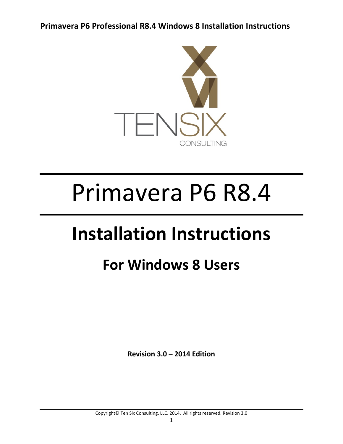

# Primavera P6 R8.4

## **Installation Instructions**

### **For Windows 8 Users**

**Revision 3.0 – 2014 Edition**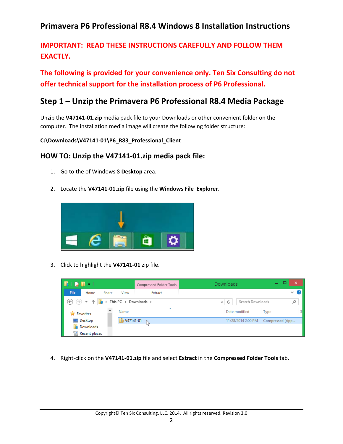#### **IMPORTANT: READ THESE INSTRUCTIONS CAREFULLY AND FOLLOW THEM** EXACTLY.

**The following is provided for your convenience only. Ten Six Consulting do not offer technical support for the installation process of P6 Professional.** 

#### **Step 1 – Unzip the Primavera P6 Professional R8.4 Media Package**

Unzip the **V47141‐01.zip** media pack file to your Downloads or other convenient folder on the computer. The installation media image will create the following folder structure:

**C:\Downloads\V47141‐01\P6\_R83\_Professional\_Client**

#### **HOW TO: Unzip the V47141‐01.zip media pack file:**

- 1. Go to the of Windows 8 **Desktop** area.
- 2. Locate the **V47141‐01.zip** file using the **Windows File Explorer**.



3. Click to highlight the **V47141‐01** zip file.



4. Right‐click on the **V47141‐01.zip** file and select **Extract** in the **Compressed Folder Tools** tab.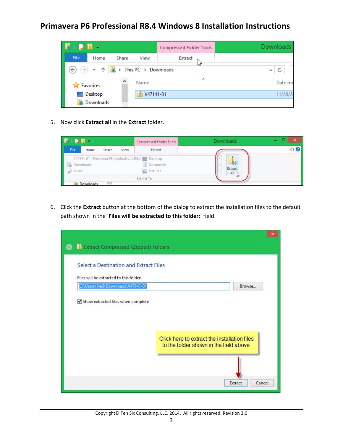

5. Now click **Extract all** in the **Extract** folder.



6. Click the **Extract** button at the bottom of the dialog to extract the installation files to the default path shown in the '**Files will be extracted to this folder:**' field.

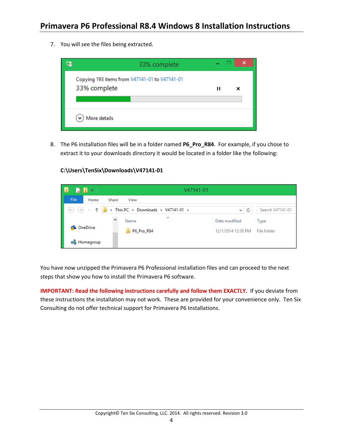7. You will see the files being extracted.



8. The P6 installation files will be in a folder named **P6\_Pro\_R84**. For example, if you chose to extract it to your downloads directory it would be located in a folder like the following:

#### **C:\Users\TenSix\Downloads\V47141‐01**

|                                                                               |                        | V47141-01 |                                     |                    |                      |                  |
|-------------------------------------------------------------------------------|------------------------|-----------|-------------------------------------|--------------------|----------------------|------------------|
| <b>File</b>                                                                   | Home                   | Share     | View                                |                    |                      |                  |
| $\left(\leftarrow\right)$ $\left(\rightarrow\right)$ $\rightarrow$ $\uparrow$ |                        |           | > This PC > Downloads > V47141-01 > |                    | Ċ<br>$\mathcal{M}$ : | Search V47141-01 |
|                                                                               |                        | ∧         | ×<br>Name                           | Date modified      |                      | Type             |
| <b>ConeDrive</b>                                                              |                        |           | P6_Pro_R84                          | 12/1/2014 12:38 PM |                      | File folder      |
|                                                                               | <b>&amp;</b> Homegroup |           |                                     |                    |                      |                  |

You have now unzipped the Primavera P6 Professional installation files and can proceed to the next steps that show you how to install the Primavera P6 software.

**IMPORTANT: Read the following instructions carefully and follow them EXACTLY.** If you deviate from these instructions the installation may not work. These are provided for your convenience only. Ten Six Consulting do not offer technical support for Primavera P6 Installations.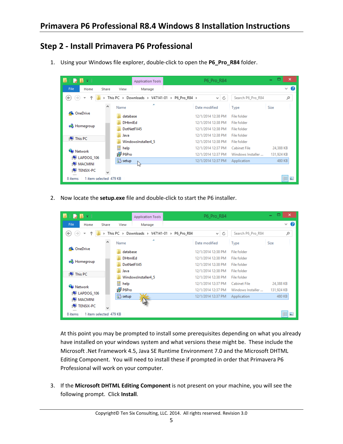#### **Step 2 ‐ Install Primavera P6 Professional**

1. Using your Windows file explorer, double‐click to open the **P6\_Pro\_R84** folder.

| $\blacksquare \blacksquare \blacksquare \blacksquare \blacksquare \blacksquare \blacksquare \blacksquare \blacksquare$ | <b>Application Tools</b> |                                                | P6_Pro_R84         |                   | □<br>×<br>÷                   |
|------------------------------------------------------------------------------------------------------------------------|--------------------------|------------------------------------------------|--------------------|-------------------|-------------------------------|
| <b>File</b><br>Home<br>Share                                                                                           | View<br>Manage           |                                                |                    |                   | $\vee$ 0                      |
| $(\Leftarrow)$<br>$\rightarrow$<br>÷                                                                                   |                          | This PC > Downloads > V47141-01 > P6_Pro_R84 > | Ċ<br>v.            | Search P6 Pro R84 | مر                            |
| ́                                                                                                                      | Name                     | ×                                              | Date modified      | Type              | Size                          |
| <b>6</b> OneDrive                                                                                                      | database                 |                                                | 12/1/2014 12:38 PM | File folder       |                               |
|                                                                                                                        | <b>DHtmlEd</b>           |                                                | 12/1/2014 12:38 PM | File folder       |                               |
| eB.<br>Homegroup                                                                                                       | DotNetFX45               |                                                | 12/1/2014 12:38 PM | File folder       |                               |
| <b>ILL</b> This PC                                                                                                     | Java                     |                                                | 12/1/2014 12:38 PM | File folder       |                               |
|                                                                                                                        | WindowsInstaller4 5      |                                                | 12/1/2014 12:38 PM | File folder       |                               |
| <b>Computer Network</b>                                                                                                | help                     |                                                | 12/1/2014 12:37 PM | Cabinet File      | 24,388 KB                     |
| ILAPDOG 106                                                                                                            | 得 P6Pro                  |                                                | 12/1/2014 12:37 PM | Windows Installer | 131,924 KB                    |
| <b>IMACMINI</b>                                                                                                        | setup                    |                                                | 12/1/2014 12:37 PM | Application       | 480 KB                        |
| <b>TENSIX-PC</b>                                                                                                       | M,                       |                                                |                    |                   |                               |
| 1 item selected 479 KB<br>8 items                                                                                      |                          |                                                |                    |                   | 脏<br>$\overline{\phantom{a}}$ |

2. Now locate the **setup.exe** file and double‐click to start the P6 installer.

|                                   | <b>Application Tools</b>                                    | P6 Pro R84                         | ▭<br>×<br>÷                     |
|-----------------------------------|-------------------------------------------------------------|------------------------------------|---------------------------------|
| File<br>Share<br>Home             | View<br>Manage                                              |                                    | B<br>$\checkmark$               |
| ∈<br>→                            | Downloads ▶ V47141-01 ▶ P6 Pro R84<br>This PC $\rightarrow$ | Ċ<br>v.                            | مر<br>Search P6 Pro R84         |
|                                   | A<br>́<br>Name                                              | Date modified<br>Type              | <b>Size</b>                     |
| <b>ConeDrive</b>                  | database                                                    | 12/1/2014 12:38 PM<br>File folder  |                                 |
|                                   | <b>DHtmlEd</b>                                              | 12/1/2014 12:38 PM<br>File folder  |                                 |
| e8.<br>Homegroup                  | DotNetFX45                                                  | 12/1/2014 12:38 PM<br>File folder  |                                 |
|                                   | Java                                                        | 12/1/2014 12:38 PM<br>File folder  |                                 |
| <b>ILL</b> This PC                | WindowsInstaller4 5                                         | 12/1/2014 12:38 PM<br>File folder  |                                 |
|                                   | 曽<br>help                                                   | 12/1/2014 12:37 PM<br>Cabinet File | 24,388 KB                       |
| <b>G</b> Network<br>ILAPDOG 106   | 得 P6Pro                                                     | 12/1/2014 12:37 PM                 | Windows Installer<br>131,924 KB |
| <b>IMACMINI</b>                   | setup                                                       | 12/1/2014 12:37 PM<br>Application  | 480 KB                          |
| TENSIX-PC                         |                                                             |                                    |                                 |
| 1 item selected 479 KB<br>8 items |                                                             |                                    | 胆<br>E                          |

At this point you may be prompted to install some prerequisites depending on what you already have installed on your windows system and what versions these might be. These include the Microsoft .Net Framework 4.5, Java SE Runtime Environment 7.0 and the Microsoft DHTML Editing Component. You will need to install these if prompted in order that Primavera P6 Professional will work on your computer.

3. If the **Microsoft DHTML Editing Component** is not present on your machine, you will see the following prompt. Click **Install**.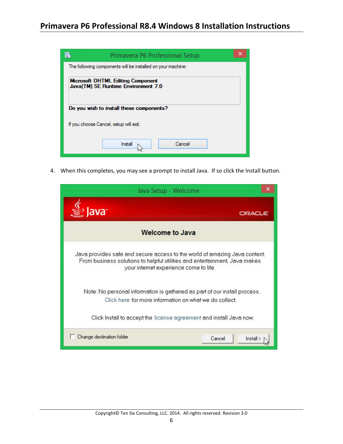| Primavera P6 Professional Setup                                                 |  |
|---------------------------------------------------------------------------------|--|
| The following components will be installed on your machine:                     |  |
| <b>Microsoft DHTML Editing Component</b><br>Java(TM) SE Runtime Environment 7.0 |  |
| Do you wish to install these components?                                        |  |
| If you choose Cancel, setup will exit.                                          |  |
| Cancel<br>Install                                                               |  |

4. When this completes, you may see a prompt to install Java. If so click the Install button.

| Java Setup - Welcome                                                                                                                                                                               |                   |
|----------------------------------------------------------------------------------------------------------------------------------------------------------------------------------------------------|-------------------|
| lava <sup>-</sup>                                                                                                                                                                                  | ORACLE            |
| <b>Welcome to Java</b>                                                                                                                                                                             |                   |
| Java provides safe and secure access to the world of amazing Java content.<br>From business solutions to helpful utilities and entertainment, Java makes<br>your internet experience come to life. |                   |
| Note: No personal information is gathered as part of our install process.<br>Click here for more information on what we do collect.                                                                |                   |
| Click Install to accept the license agreement and install Java now.                                                                                                                                |                   |
| Change destination folder                                                                                                                                                                          | Cancel<br>Install |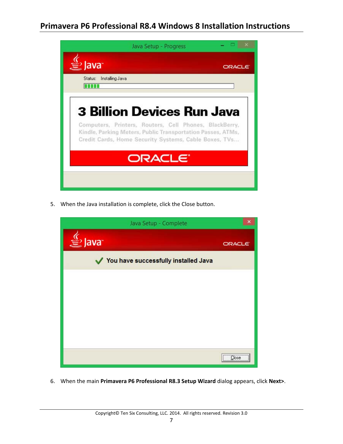

5. When the Java installation is complete, click the Close button.



6. When the main **Primavera P6 Professional R8.3 Setup Wizard** dialog appears, click **Next>**.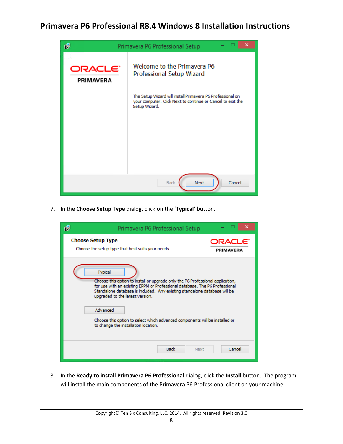

7. In the **Choose Setup Type** dialog, click on the '**Typical**' button.

| 碍 | Primavera P6 Professional Setup                                                                                                                                                                                                                                                                                                                                                                                                    | ×                    |
|---|------------------------------------------------------------------------------------------------------------------------------------------------------------------------------------------------------------------------------------------------------------------------------------------------------------------------------------------------------------------------------------------------------------------------------------|----------------------|
|   | <b>Choose Setup Type</b><br>Choose the setup type that best suits your needs                                                                                                                                                                                                                                                                                                                                                       | ORACLE'<br>PRIMAVERA |
|   | <b>Typical</b><br>Choose this option to install or upgrade only the P6 Professional application,<br>for use with an existing EPPM or Professional database. The P6 Professional<br>Standalone database is included. Any existing standalone database will be<br>upgraded to the latest version.<br>Advanced<br>Choose this option to select which advanced components will be installed or<br>to change the installation location. |                      |
|   | <b>Back</b><br>Next                                                                                                                                                                                                                                                                                                                                                                                                                | Cancel               |

8. In the **Ready to install Primavera P6 Professional** dialog, click the **Install** button. The program will install the main components of the Primavera P6 Professional client on your machine.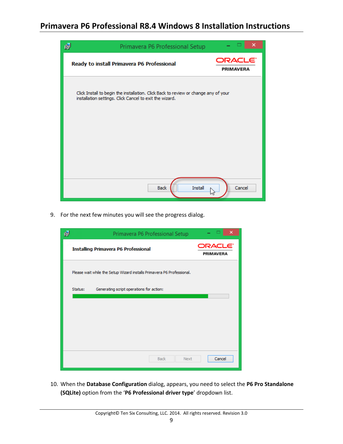

9. For the next few minutes you will see the progress dialog.

| 慢       | Primavera P6 Professional Setup                                        | ×                                       |
|---------|------------------------------------------------------------------------|-----------------------------------------|
|         | <b>Installing Primavera P6 Professional</b>                            | ORACLE <sup>.</sup><br><b>PRIMAVERA</b> |
|         | Please wait while the Setup Wizard installs Primavera P6 Professional. |                                         |
| Status: | Generating script operations for action:                               |                                         |
|         |                                                                        |                                         |
|         |                                                                        |                                         |
|         |                                                                        |                                         |
|         |                                                                        |                                         |
|         |                                                                        |                                         |
|         | <b>Back</b><br>Next                                                    | Cancel                                  |

10. When the **Database Configuration** dialog, appears, you need to select the **P6 Pro Standalone (SQLite)** option from the '**P6 Professional driver type**' dropdown list.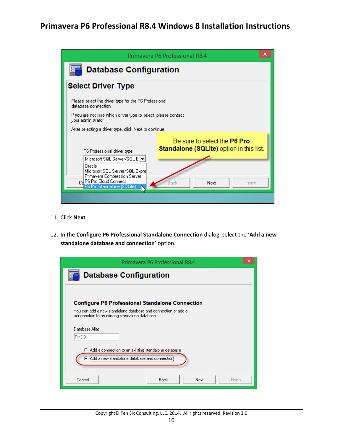|                                                                                                                                                                                                                       | Primavera P6 Professional R8.4                                                                            |  |  |  |
|-----------------------------------------------------------------------------------------------------------------------------------------------------------------------------------------------------------------------|-----------------------------------------------------------------------------------------------------------|--|--|--|
| <b>Database Configuration</b>                                                                                                                                                                                         |                                                                                                           |  |  |  |
| <b>Select Driver Type</b>                                                                                                                                                                                             |                                                                                                           |  |  |  |
| Please select the driver type for the P6 Professional<br>database connection.                                                                                                                                         |                                                                                                           |  |  |  |
| If you are not sure which driver type to select, please contact<br>your administrator                                                                                                                                 |                                                                                                           |  |  |  |
| After selecting a driver type, click Next to continue.                                                                                                                                                                |                                                                                                           |  |  |  |
| P6 Professional driver type<br>Microsoft SQL Server/SQL E $\blacktriangleright$<br>Oracle<br>Microsoft SQL Server/SQL Expre<br>Primavera Compression Server<br>Car P6 Pro Cloud Connect<br>P6 Pro Standalone (SQLite) | Be sure to select the P6 Pro<br><b>Standalone (SQLite)</b> option in this list.<br>Back<br>Next<br>Finish |  |  |  |

- 11. Click **Next**.
- 12. In the **Configure P6 Professional Standalone Connection** dialog, select the '**Add a new standalone database and connection**' option.

| Primavera P6 Professional R8.4                                                                                   | × |
|------------------------------------------------------------------------------------------------------------------|---|
| <b>Database Configuration</b><br>Εß                                                                              |   |
| <b>Configure P6 Professional Standalone Connection</b>                                                           |   |
| You can add a new standalone database and connection or add a<br>connnection to an existing standalone database. |   |
| Database Alias<br>PMDB                                                                                           |   |
| Add a connection to an existing standalone database<br>o<br>a Add a new standalone database and connection       |   |
| Cancel<br><b>Back</b><br>Next<br>Finish                                                                          |   |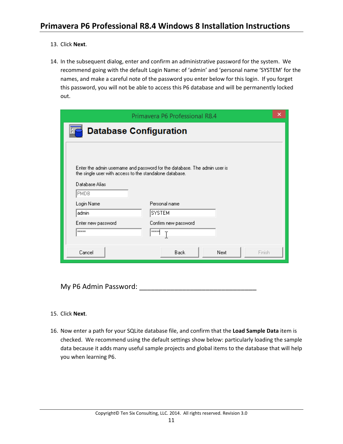- 13. Click **Next**.
- 14. In the subsequent dialog, enter and confirm an administrative password for the system. We recommend going with the default Login Name: of 'admin' and 'personal name 'SYSTEM' for the names, and make a careful note of the password you enter below for this login. If you forget this password, you will not be able to access this P6 database and will be permanently locked out.

|                                                         | Primavera P6 Professional R8.4                                            | ×      |
|---------------------------------------------------------|---------------------------------------------------------------------------|--------|
| <b>Database Configuration</b>                           |                                                                           |        |
|                                                         |                                                                           |        |
|                                                         |                                                                           |        |
|                                                         | Enter the admin username and password for the database. The admin user is |        |
| the single user with access to the standalone database. |                                                                           |        |
| Database Alias<br><b>PMDB</b>                           |                                                                           |        |
|                                                         |                                                                           |        |
| Login Name                                              | Personal name                                                             |        |
| admin                                                   | <b>SYSTEM</b>                                                             |        |
| Enter new password                                      | Confirm new password                                                      |        |
| <b>xxxxx</b>                                            | <b>xxxxx</b>                                                              |        |
|                                                         |                                                                           |        |
| Cancel                                                  | <b>Back</b><br>Next                                                       | Finish |
|                                                         |                                                                           |        |

My P6 Admin Password: **Washington** 

#### 15. Click **Next**.

16. Now enter a path for your SQLite database file, and confirm that the **Load Sample Data** item is checked. We recommend using the default settings show below: particularly loading the sample data because it adds many useful sample projects and global items to the database that will help you when learning P6.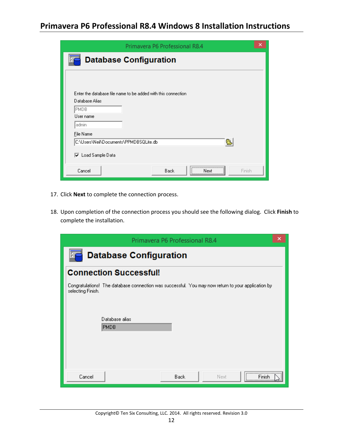| Primavera P6 Professional R8.4                                | × |
|---------------------------------------------------------------|---|
| <b>Database Configuration</b><br>F,C                          |   |
|                                                               |   |
|                                                               |   |
| Enter the database file name to be added with this connection |   |
| Database Alias                                                |   |
| PMDB<br>User name                                             |   |
| admin                                                         |   |
| File Name                                                     |   |
| q<br>C:\Users\Neil\Documents\PPMDBSQLite.db                   |   |
| <b>▽</b> Load Sample Data                                     |   |
|                                                               |   |
| <br>Cancel<br><b>Back</b><br>Finish<br>Next                   |   |
|                                                               |   |

- 17. Click **Next** to complete the connection process.
- 18. Upon completion of the connection process you should see the following dialog. Click **Finish** to complete the installation.

|                   | Primavera P6 Professional R8.4                                                                     | × |
|-------------------|----------------------------------------------------------------------------------------------------|---|
| 8 C               | <b>Database Configuration</b>                                                                      |   |
|                   | <b>Connection Successful!</b>                                                                      |   |
| selecting Finish. | Congratulations! The database connection was successful. You may now return to your application by |   |
|                   | Database alias<br><b>PMDB</b>                                                                      |   |
| Cancel            | <br><b>Back</b><br>Next.<br>Finish                                                                 |   |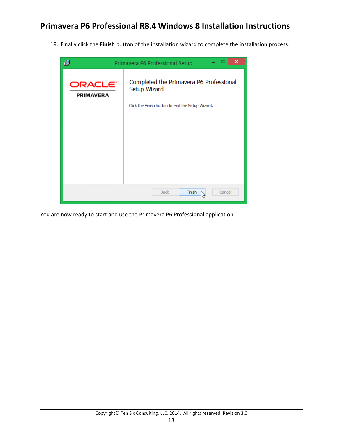19. Finally click the **Finish** button of the installation wizard to complete the installation process.



You are now ready to start and use the Primavera P6 Professional application.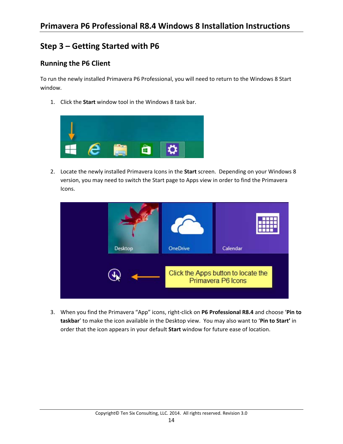#### **Step 3 – Getting Started with P6**

#### **Running the P6 Client**

To run the newly installed Primavera P6 Professional, you will need to return to the Windows 8 Start window.

1. Click the **Start** window tool in the Windows 8 task bar.



2. Locate the newly installed Primavera Icons in the **Start** screen. Depending on your Windows 8 version, you may need to switch the Start page to Apps view in order to find the Primavera Icons.



3. When you find the Primavera "App" icons, right‐click on **P6 Professional R8.4** and choose '**Pin to taskbar**' to make the icon available in the Desktop view. You may also want to '**Pin to Start'** in order that the icon appears in your default **Start** window for future ease of location.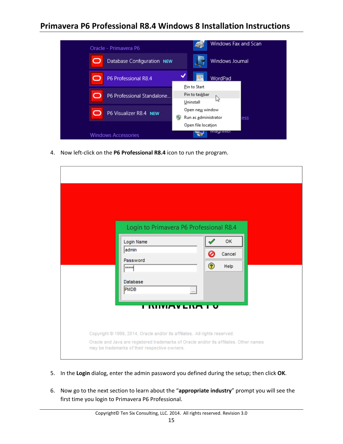| Oracle - Primavera P6           | Windows Fax and Scan                           |
|---------------------------------|------------------------------------------------|
| O<br>Database Configuration NEW | Windows Journal                                |
| P6 Professional R8.4<br>O       | WordPad<br>Pin to Start                        |
| P6 Professional Standalone<br>O | Pin to taskbar<br>hŕ<br>Uninstall              |
| P6 Visualizer R8.4 NEW<br>О     | Open new window<br>Run as administrator<br>ess |
|                                 | Open file location                             |
| <b>Windows Accessories</b>      | magningi                                       |

4. Now left‐click on the **P6 Professional R8.4** icon to run the program.

| Login to Primavera P6 Professional R8.4<br>Login Name<br>admin<br>Password<br>*****<br><b>Database</b><br><b>PMDB</b><br><u>I INIVIAVLIVA I V</u>                                                                     | <b>OK</b><br>Ø<br>Cancel<br>$\left( 2\right)$<br>Help<br>$\cdots$ |
|-----------------------------------------------------------------------------------------------------------------------------------------------------------------------------------------------------------------------|-------------------------------------------------------------------|
| Copyright @ 1999, 2014, Oracle and/or its affiliates. All rights reserved.<br>Oracle and Java are registered trademarks of Oracle and/or its affiliates. Other names<br>may be trademarks of their respective owners. |                                                                   |

- 5. In the **Login** dialog, enter the admin password you defined during the setup; then click **OK**.
- 6. Now go to the next section to learn about the "**appropriate industry**" prompt you will see the first time you login to Primavera P6 Professional.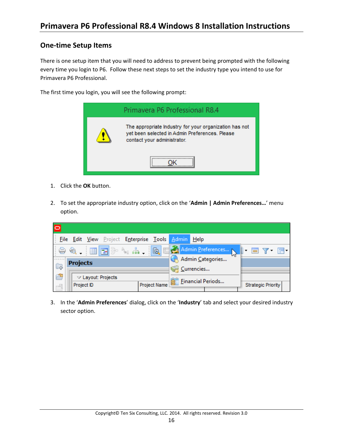#### **One‐time Setup Items**

There is one setup item that you will need to address to prevent being prompted with the following every time you login to P6. Follow these next steps to set the industry type you intend to use for Primavera P6 Professional.

The first time you login, you will see the following prompt:



- 1. Click the **OK** button.
- 2. To set the appropriate industry option, click on the '**Admin | Admin Preferences…**' menu option.

| $\overline{\circ}$ |                                               |                                                                                  |  |
|--------------------|-----------------------------------------------|----------------------------------------------------------------------------------|--|
|                    | File Edit View Project Enterprise Tools Admin | Help                                                                             |  |
|                    | 음 46.   田  리아 「^ ^ ^ " <br>國                  | Admin Preferences<br>$\blacksquare$ $\blacksquare$ $\blacksquare$ $\blacksquare$ |  |
|                    | <b>Projects</b>                               | Admin Categories                                                                 |  |
| Û.                 |                                               | Currencies                                                                       |  |
| ఆ                  | $\triangledown$ Layout: Projects              | <b>Einancial Periods</b>                                                         |  |
| $-\frac{1}{2}$     | Project Name<br>Project ID                    | <b>Strategic Priority</b>                                                        |  |

3. In the '**Admin Preferences**' dialog, click on the '**Industry**' tab and select your desired industry sector option.